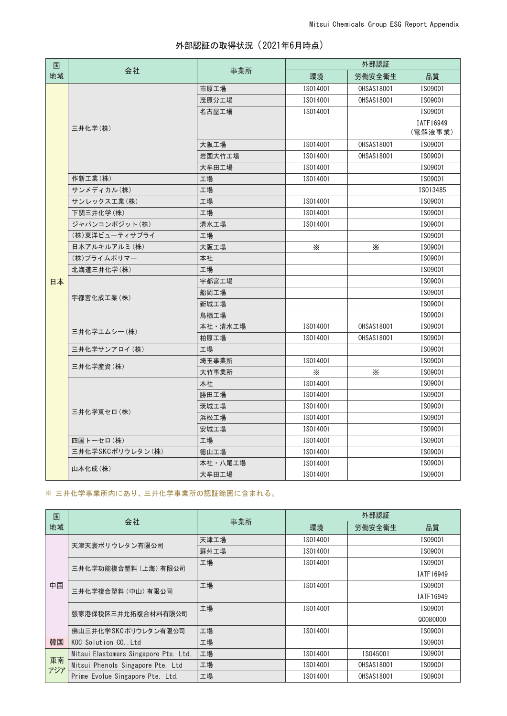| 国  | 会社               | 事業所     | 外部認証     |                   |           |
|----|------------------|---------|----------|-------------------|-----------|
| 地域 |                  |         | 環境       | 労働安全衛生            | 品質        |
|    | 三井化学(株)          | 市原工場    | IS014001 | <b>OHSAS18001</b> | IS09001   |
|    |                  | 茂原分工場   | IS014001 | <b>OHSAS18001</b> | IS09001   |
|    |                  | 名古屋工場   | IS014001 |                   | IS09001   |
|    |                  |         |          |                   | IATF16949 |
|    |                  |         |          |                   | (電解液事業)   |
|    |                  | 大阪工場    | IS014001 | <b>OHSAS18001</b> | IS09001   |
|    |                  | 岩国大竹工場  | IS014001 | <b>OHSAS18001</b> | IS09001   |
|    |                  | 大牟田工場   | IS014001 |                   | IS09001   |
|    | 作新工業(株)          | 工場      | IS014001 |                   | IS09001   |
|    | サンメディカル (株)      | 工場      |          |                   | IS013485  |
|    | サンレックス工業(株)      | 工場      | IS014001 |                   | IS09001   |
|    | 下関三井化学(株)        | 工場      | IS014001 |                   | IS09001   |
|    | ジャパンコンポジット(株)    | 清水工場    | IS014001 |                   | IS09001   |
|    | (株)東洋ビューティサプライ   | 工場      |          |                   | IS09001   |
|    | 日本アルキルアルミ(株)     | 大阪工場    | ⋇        | Ж                 | IS09001   |
|    | (株)プライムポリマー      | 本社      |          |                   | IS09001   |
|    | 北海道三井化学(株)       | 工場      |          |                   | IS09001   |
| 日本 | 宇都宮化成工業(株)       | 宇都宮工場   |          |                   | IS09001   |
|    |                  | 船岡工場    |          |                   | IS09001   |
|    |                  | 新城工場    |          |                   | IS09001   |
|    |                  | 鳥栖工場    |          |                   | IS09001   |
|    | 三井化学エムシー(株)      | 本社・清水工場 | IS014001 | <b>OHSAS18001</b> | IS09001   |
|    |                  | 柏原工場    | IS014001 | <b>OHSAS18001</b> | IS09001   |
|    | 三井化学サンアロイ (株)    | 工場      |          |                   | IS09001   |
|    | 三井化学産資(株)        | 埼玉事業所   | IS014001 |                   | IS09001   |
|    |                  | 大竹事業所   | X        | $\times$          | IS09001   |
|    | 三井化学東セロ(株)       | 本社      | IS014001 |                   | IS09001   |
|    |                  | 勝田工場    | IS014001 |                   | IS09001   |
|    |                  | 茨城工場    | IS014001 |                   | IS09001   |
|    |                  | 浜松工場    | IS014001 |                   | IS09001   |
|    |                  | 安城工場    | IS014001 |                   | IS09001   |
|    | 四国トーセロ(株)        | 工場      | IS014001 |                   | IS09001   |
|    | 三井化学SKCポリウレタン(株) | 徳山工場    | IS014001 |                   | IS09001   |
|    | 山本化成(株)          | 本社・八尾工場 | IS014001 |                   | IS09001   |
|    |                  | 大牟田工場   | IS014001 |                   | IS09001   |

※ 三井化学事業所内にあり、三井化学事業所の認証範囲に含まれる。

| 国<br>地域   | 会社                                    | 事業所  | 外部認証     |                   |           |
|-----------|---------------------------------------|------|----------|-------------------|-----------|
|           |                                       |      | 環境       | 労働安全衛生            | 品質        |
| 中国        | 天津天寰ポリウレタン有限公司                        | 天津工場 | IS014001 |                   | IS09001   |
|           |                                       | 蘇州工場 | IS014001 |                   | IS09001   |
|           | 三井化学功能複合塑料 (上海) 有限公司                  | 工場   | IS014001 |                   | IS09001   |
|           |                                       |      |          |                   | IATF16949 |
|           | 三井化学複合塑料 (中山) 有限公司                    | 工場   | IS014001 |                   | IS09001   |
|           |                                       |      |          |                   | IATF16949 |
|           | 張家港保税区三井允拓複合材料有限公司                    | 工場   | IS014001 |                   | IS09001   |
|           |                                       |      |          |                   | QC080000  |
|           | 佛山三井化学SKCポリウレタン有限公司                   | 工場   | IS014001 |                   | IS09001   |
| 韓国        | KOC Solution CO., Ltd                 | 工場   |          |                   | IS09001   |
| 東南<br>アジア | Mitsui Elastomers Singapore Pte. Ltd. | 工場   | IS014001 | IS045001          | IS09001   |
|           | Mitsui Phenols Singapore Pte. Ltd     | 工場   | IS014001 | <b>OHSAS18001</b> | IS09001   |
|           | Prime Evolue Singapore Pte. Ltd.      | 工場   | IS014001 | <b>OHSAS18001</b> | IS09001   |